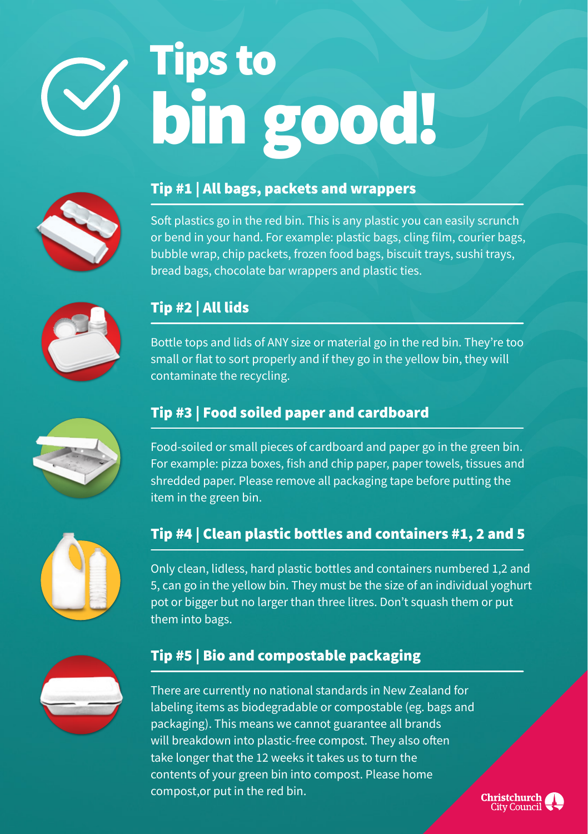# Tips to bin good!



#### Tip #1 | All bags, packets and wrappers

Soft plastics go in the red bin. This is any plastic you can easily scrunch or bend in your hand. For example: plastic bags, cling film, courier bags, bubble wrap, chip packets, frozen food bags, biscuit trays, sushi trays, bread bags, chocolate bar wrappers and plastic ties.



### Tip #2 | All lids

Bottle tops and lids of ANY size or material go in the red bin. They're too small or flat to sort properly and if they go in the yellow bin, they will contaminate the recycling.



#### Tip #3 | Food soiled paper and cardboard

Food-soiled or small pieces of cardboard and paper go in the green bin. For example: pizza boxes, fish and chip paper, paper towels, tissues and shredded paper. Please remove all packaging tape before putting the item in the green bin.



#### Tip #4 | Clean plastic bottles and containers #1, 2 and 5

Only clean, lidless, hard plastic bottles and containers numbered 1,2 and 5, can go in the yellow bin. They must be the size of an individual yoghurt pot or bigger but no larger than three litres. Don't squash them or put them into bags.



#### Tip #5 | Bio and compostable packaging

There are currently no national standards in New Zealand for labeling items as biodegradable or compostable (eg. bags and packaging). This means we cannot guarantee all brands will breakdown into plastic-free compost. They also often take longer that the 12 weeks it takes us to turn the contents of your green bin into compost. Please home compost,or put in the red bin.